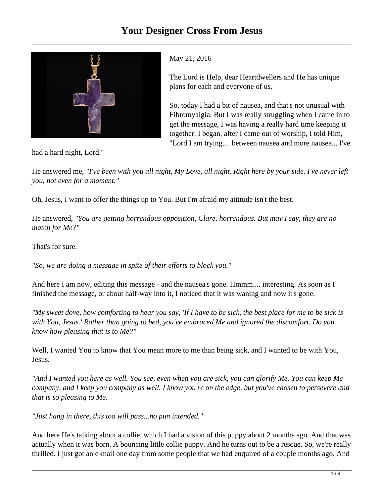

May 21, 2016

The Lord is Help, dear Heartdwellers and He has unique plans for each and everyone of us.

So, today I had a bit of nausea, and that's not unusual with Fibromyalgia. But I was really struggling when I came in to get the message, I was having a really hard time keeping it together. I began, after I came out of worship, I told Him, "Lord I am trying.... between nausea and more nausea... I've

had a hard night, Lord."

He answered me, *"I've been with you all night, My Love, all night. Right here by your side. I've never left you, not even for a moment."*

Oh, Jesus, I want to offer the things up to You. But I'm afraid my attitude isn't the best.

He answered, *"You are getting horrendous opposition, Clare, horrendous. But may I say, they are no match for Me?"*

That's for sure.

*"So, we are doing a message in spite of their efforts to block you."*

And here I am now, editing this message - and the nausea's gone. Hmmm.... interesting. As soon as I finished the message, or about half-way into it, I noticed that it was waning and now it's gone.

*"My sweet dove, how comforting to hear you say, 'If I have to be sick, the best place for me to be sick is with You, Jesus.' Rather than going to bed, you've embraced Me and ignored the discomfort. Do you know how pleasing that is to Me?"*

Well, I wanted You to know that You mean more to me than being sick, and I wanted to be with You, Jesus.

*"And I wanted you here as well. You see, even when you are sick, you can glorify Me. You can keep Me company, and I keep you company as well. I know you're on the edge, but you've chosen to persevere and that is so pleasing to Me.* 

*"Just hang in there, this too will pass...no pun intended."*

And here He's talking about a collie, which I had a vision of this puppy about 2 months ago. And that was actually when it was born. A bouncing little collie puppy. And he turns out to be a rescue. So, we're really thrilled. I just got an e-mail one day from some people that we had enquired of a couple months ago. And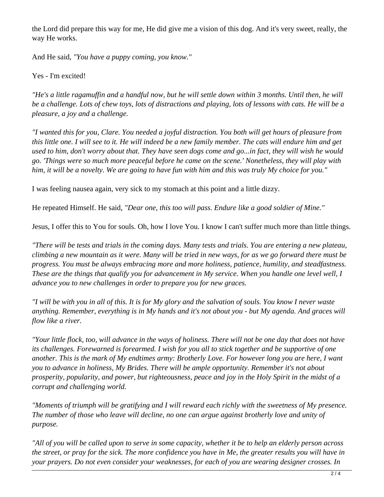the Lord did prepare this way for me, He did give me a vision of this dog. And it's very sweet, really, the way He works.

And He said, *"You have a puppy coming, you know."*

Yes - I'm excited!

*"He's a little ragamuffin and a handful now, but he will settle down within 3 months. Until then, he will be a challenge. Lots of chew toys, lots of distractions and playing, lots of lessons with cats. He will be a pleasure, a joy and a challenge.*

*"I wanted this for you, Clare. You needed a joyful distraction. You both will get hours of pleasure from this little one. I will see to it. He will indeed be a new family member. The cats will endure him and get used to him, don't worry about that. They have seen dogs come and go...in fact, they will wish he would go. 'Things were so much more peaceful before he came on the scene.' Nonetheless, they will play with him, it will be a novelty. We are going to have fun with him and this was truly My choice for you."*

I was feeling nausea again, very sick to my stomach at this point and a little dizzy.

He repeated Himself. He said, *"Dear one, this too will pass. Endure like a good soldier of Mine."*

Jesus, I offer this to You for souls. Oh, how I love You. I know I can't suffer much more than little things.

*"There will be tests and trials in the coming days. Many tests and trials. You are entering a new plateau, climbing a new mountain as it were. Many will be tried in new ways, for as we go forward there must be progress. You must be always embracing more and more holiness, patience, humility, and steadfastness. These are the things that qualify you for advancement in My service. When you handle one level well, I advance you to new challenges in order to prepare you for new graces.*

*"I will be with you in all of this. It is for My glory and the salvation of souls. You know I never waste anything. Remember, everything is in My hands and it's not about you - but My agenda. And graces will flow like a river.* 

*"Your little flock, too, will advance in the ways of holiness. There will not be one day that does not have its challenges. Forewarned is forearmed. I wish for you all to stick together and be supportive of one another. This is the mark of My endtimes army: Brotherly Love. For however long you are here, I want you to advance in holiness, My Brides. There will be ample opportunity. Remember it's not about prosperity, popularity, and power, but righteousness, peace and joy in the Holy Spirit in the midst of a corrupt and challenging world.*

*"Moments of triumph will be gratifying and I will reward each richly with the sweetness of My presence. The number of those who leave will decline, no one can argue against brotherly love and unity of purpose.* 

*"All of you will be called upon to serve in some capacity, whether it be to help an elderly person across the street, or pray for the sick. The more confidence you have in Me, the greater results you will have in your prayers. Do not even consider your weaknesses, for each of you are wearing designer crosses. In*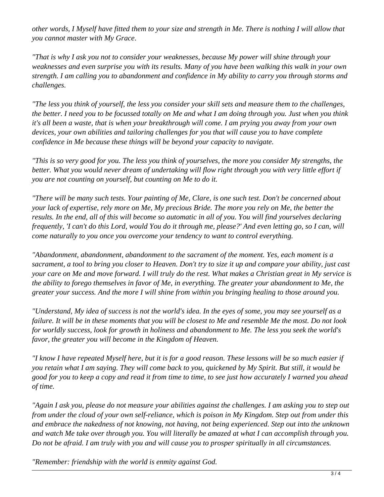*other words, I Myself have fitted them to your size and strength in Me. There is nothing I will allow that you cannot master with My Grace*.

*"That is why I ask you not to consider your weaknesses, because My power will shine through your weaknesses and even surprise you with its results. Many of you have been walking this walk in your own strength. I am calling you to abandonment and confidence in My ability to carry you through storms and challenges.* 

*"The less you think of yourself, the less you consider your skill sets and measure them to the challenges, the better. I need you to be focussed totally on Me and what I am doing through you. Just when you think it's all been a waste, that is when your breakthrough will come. I am prying you away from your own devices, your own abilities and tailoring challenges for you that will cause you to have complete confidence in Me because these things will be beyond your capacity to navigate.*

*"This is so very good for you. The less you think of yourselves, the more you consider My strengths, the better. What you would never dream of undertaking will flow right through you with very little effort if you are not counting on yourself, but counting on Me to do it.*

*"There will be many such tests. Your painting of Me, Clare, is one such test. Don't be concerned about your lack of expertise, rely more on Me, My precious Bride. The more you rely on Me, the better the results. In the end, all of this will become so automatic in all of you. You will find yourselves declaring frequently, 'I can't do this Lord, would You do it through me, please?' And even letting go, so I can, will come naturally to you once you overcome your tendency to want to control everything.*

*"Abandonment, abandonment, abandonment to the sacrament of the moment. Yes, each moment is a sacrament, a tool to bring you closer to Heaven. Don't try to size it up and compare your ability, just cast your care on Me and move forward. I will truly do the rest. What makes a Christian great in My service is the ability to forego themselves in favor of Me, in everything. The greater your abandonment to Me, the greater your success. And the more I will shine from within you bringing healing to those around you.*

*"Understand, My idea of success is not the world's idea. In the eyes of some, you may see yourself as a failure. It will be in these moments that you will be closest to Me and resemble Me the most. Do not look for worldly success, look for growth in holiness and abandonment to Me. The less you seek the world's favor, the greater you will become in the Kingdom of Heaven.*

*"I know I have repeated Myself here, but it is for a good reason. These lessons will be so much easier if you retain what I am saying. They will come back to you, quickened by My Spirit. But still, it would be good for you to keep a copy and read it from time to time, to see just how accurately I warned you ahead of time.* 

*"Again I ask you, please do not measure your abilities against the challenges. I am asking you to step out from under the cloud of your own self-reliance, which is poison in My Kingdom. Step out from under this and embrace the nakedness of not knowing, not having, not being experienced. Step out into the unknown and watch Me take over through you. You will literally be amazed at what I can accomplish through you. Do not be afraid. I am truly with you and will cause you to prosper spiritually in all circumstances.*

*"Remember: friendship with the world is enmity against God.*